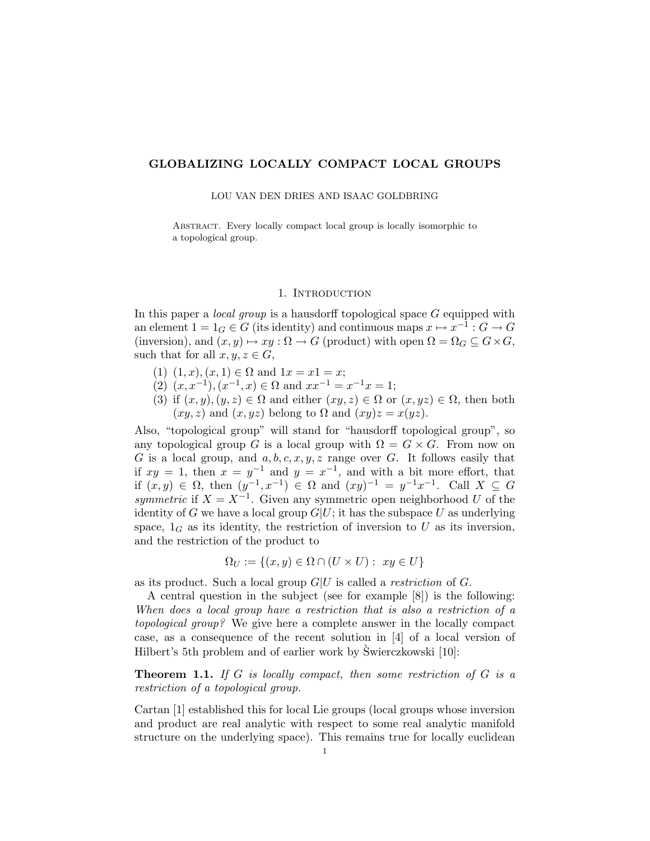# GLOBALIZING LOCALLY COMPACT LOCAL GROUPS

LOU VAN DEN DRIES AND ISAAC GOLDBRING

ABSTRACT. Every locally compact local group is locally isomorphic to a topological group.

### 1. Introduction

In this paper a *local group* is a hausdorff topological space  $G$  equipped with an element  $1 = 1_G \in G$  (its identity) and continuous maps  $x \mapsto x^{-1} : G \to G$ (inversion), and  $(x, y) \mapsto xy : \Omega \to G$  (product) with open  $\Omega = \Omega_G \subseteq G \times G$ , such that for all  $x, y, z \in G$ ,

- (1)  $(1, x), (x, 1) \in \Omega$  and  $1x = x1 = x$ ;
- (2)  $(x, x^{-1}), (x^{-1}, x) \in \Omega$  and  $xx^{-1} = x^{-1}x = 1$ ;
- (3) if  $(x, y), (y, z) \in \Omega$  and either  $(xy, z) \in \Omega$  or  $(x, yz) \in \Omega$ , then both  $(xy, z)$  and  $(x, yz)$  belong to  $\Omega$  and  $(xy)z = x(yz)$ .

Also, "topological group" will stand for "hausdorff topological group", so any topological group G is a local group with  $\Omega = G \times G$ . From now on G is a local group, and  $a, b, c, x, y, z$  range over G. It follows easily that if  $xy = 1$ , then  $x = y^{-1}$  and  $y = x^{-1}$ , and with a bit more effort, that if  $(x, y) \in Ω$ , then  $(y^{-1}, x^{-1}) \in Ω$  and  $(xy)^{-1} = y^{-1}x^{-1}$ . Call  $X ⊆ G$ symmetric if  $X = X^{-1}$ . Given any symmetric open neighborhood U of the identity of G we have a local group  $G|U$ ; it has the subspace U as underlying space,  $1_G$  as its identity, the restriction of inversion to U as its inversion, and the restriction of the product to

$$
\Omega_U := \{(x, y) \in \Omega \cap (U \times U) : xy \in U\}
$$

as its product. Such a local group  $G|U$  is called a *restriction* of  $G$ .

A central question in the subject (see for example [8]) is the following: When does a local group have a restriction that is also a restriction of a topological group? We give here a complete answer in the locally compact case, as a consequence of the recent solution in [4] of a local version of Hilbert's 5th problem and of earlier work by Swierczkowski [10]: `

**Theorem 1.1.** If  $G$  is locally compact, then some restriction of  $G$  is a restriction of a topological group.

Cartan [1] established this for local Lie groups (local groups whose inversion and product are real analytic with respect to some real analytic manifold structure on the underlying space). This remains true for locally euclidean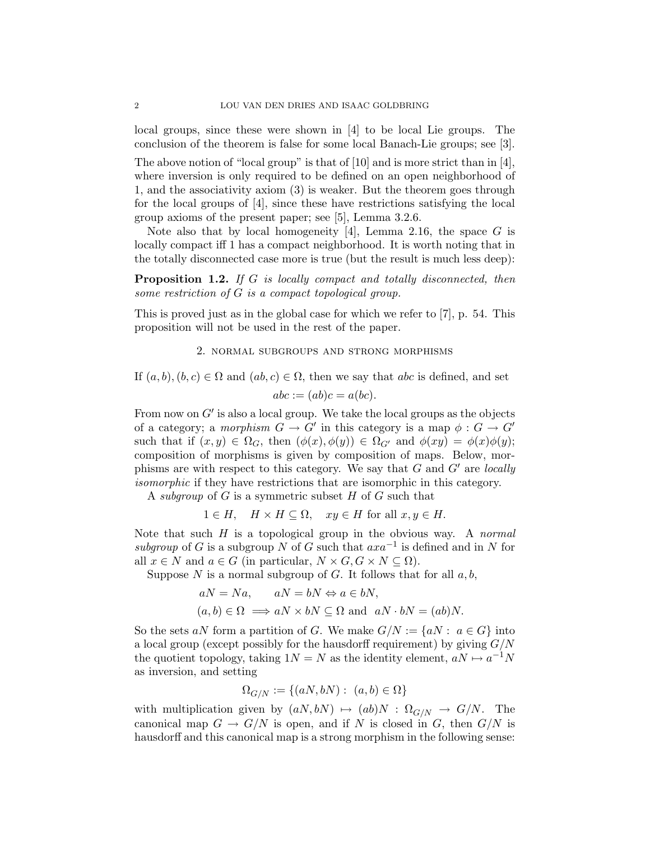local groups, since these were shown in [4] to be local Lie groups. The conclusion of the theorem is false for some local Banach-Lie groups; see [3].

The above notion of "local group" is that of [10] and is more strict than in [4], where inversion is only required to be defined on an open neighborhood of 1, and the associativity axiom (3) is weaker. But the theorem goes through for the local groups of [4], since these have restrictions satisfying the local group axioms of the present paper; see [5], Lemma 3.2.6.

Note also that by local homogeneity [4], Lemma 2.16, the space  $G$  is locally compact iff 1 has a compact neighborhood. It is worth noting that in the totally disconnected case more is true (but the result is much less deep):

Proposition 1.2. If G is locally compact and totally disconnected, then some restriction of G is a compact topological group.

This is proved just as in the global case for which we refer to [7], p. 54. This proposition will not be used in the rest of the paper.

# 2. normal subgroups and strong morphisms

If  $(a, b), (b, c) \in \Omega$  and  $(ab, c) \in \Omega$ , then we say that abc is defined, and set

$$
abc := (ab)c = a(bc).
$$

From now on  $G'$  is also a local group. We take the local groups as the objects of a category; a *morphism*  $G \to G'$  in this category is a map  $\phi : G \to G'$ such that if  $(x, y) \in \Omega_G$ , then  $(\phi(x), \phi(y)) \in \Omega_{G'}$  and  $\phi(xy) = \phi(x)\phi(y)$ ; composition of morphisms is given by composition of maps. Below, morphisms are with respect to this category. We say that  $G$  and  $G'$  are locally isomorphic if they have restrictions that are isomorphic in this category.

A *subgroup* of  $G$  is a symmetric subset  $H$  of  $G$  such that

$$
1 \in H
$$
,  $H \times H \subseteq \Omega$ ,  $xy \in H$  for all  $x, y \in H$ .

Note that such  $H$  is a topological group in the obvious way. A normal subgroup of G is a subgroup N of G such that  $axa^{-1}$  is defined and in N for all  $x \in N$  and  $a \in G$  (in particular,  $N \times G$ ,  $G \times N \subseteq \Omega$ ).

Suppose N is a normal subgroup of G. It follows that for all  $a, b$ ,

$$
aN = Na
$$
,  $aN = bN \Leftrightarrow a \in bN$ ,  
\n $(a, b) \in \Omega \implies aN \times bN \subseteq \Omega$  and  $aN \cdot bN = (ab)N$ .

So the sets aN form a partition of G. We make  $G/N := \{aN : a \in G\}$  into a local group (except possibly for the hausdorff requirement) by giving  $G/N$ the quotient topology, taking  $1N = N$  as the identity element,  $aN \mapsto a^{-1}N$ as inversion, and setting

$$
\Omega_{G/N} := \{(aN, bN) : (a, b) \in \Omega\}
$$

with multiplication given by  $(aN, bN) \mapsto (ab)N : \Omega_{G/N} \to G/N$ . The canonical map  $G \to G/N$  is open, and if N is closed in G, then  $G/N$  is hausdorff and this canonical map is a strong morphism in the following sense: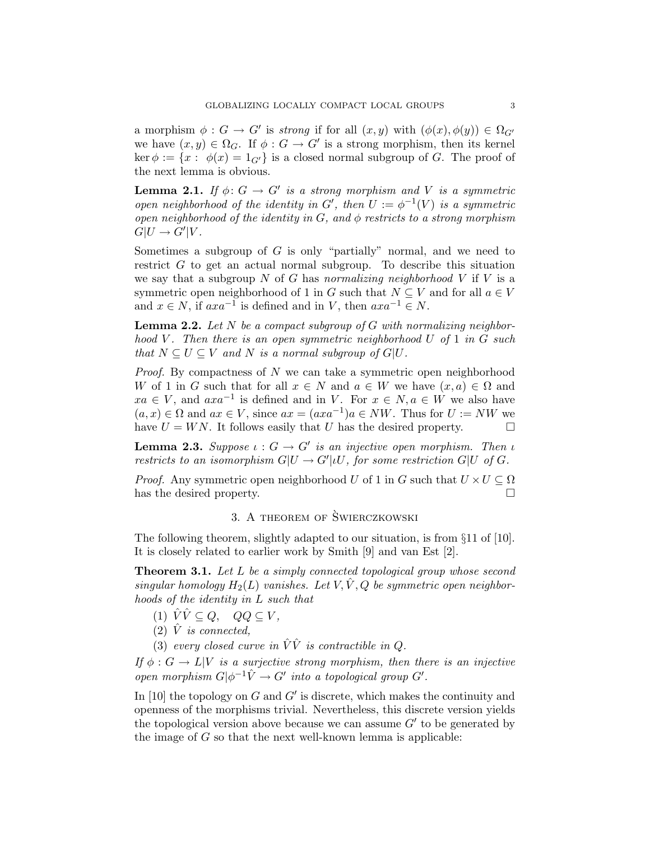a morphism  $\phi: G \to G'$  is strong if for all  $(x, y)$  with  $(\phi(x), \phi(y)) \in \Omega_{G'}$ we have  $(x, y) \in \Omega_G$ . If  $\phi : G \to G'$  is a strong morphism, then its kernel  $\ker \phi := \{x : \phi(x) = 1_{G'}\}$  is a closed normal subgroup of G. The proof of the next lemma is obvious.

**Lemma 2.1.** If  $\phi: G \to G'$  is a strong morphism and V is a symmetric open neighborhood of the identity in  $G'$ , then  $U := \phi^{-1}(V)$  is a symmetric open neighborhood of the identity in  $G$ , and  $\phi$  restricts to a strong morphism  $G|U \to G'|V.$ 

Sometimes a subgroup of  $G$  is only "partially" normal, and we need to restrict G to get an actual normal subgroup. To describe this situation we say that a subgroup  $N$  of  $G$  has normalizing neighborhood  $V$  if  $V$  is a symmetric open neighborhood of 1 in G such that  $N \subseteq V$  and for all  $a \in V$ and  $x \in N$ , if  $axa^{-1}$  is defined and in V, then  $axa^{-1} \in N$ .

**Lemma 2.2.** Let  $N$  be a compact subgroup of  $G$  with normalizing neighborhood V. Then there is an open symmetric neighborhood U of 1 in G such that  $N \subseteq U \subseteq V$  and N is a normal subgroup of  $G|U$ .

Proof. By compactness of N we can take a symmetric open neighborhood W of 1 in G such that for all  $x \in N$  and  $a \in W$  we have  $(x, a) \in \Omega$  and  $xa \in V$ , and  $axa^{-1}$  is defined and in V. For  $x \in N$ ,  $a \in W$  we also have  $(a, x) \in \Omega$  and  $ax \in V$ , since  $ax = (axa^{-1})a \in NW$ . Thus for  $U := NW$  we have  $U = WN$ . It follows easily that U has the desired property.

**Lemma 2.3.** Suppose  $\iota : G \to G'$  is an injective open morphism. Then  $\iota$ restricts to an isomorphism  $G|U \to G'|iU$ , for some restriction  $G|U$  of  $G$ .

*Proof.* Any symmetric open neighborhood U of 1 in G such that  $U \times U \subseteq \Omega$ has the desired property.

# 3. A THEOREM OF SWIERCZKOWSKI

The following theorem, slightly adapted to our situation, is from §11 of [10]. It is closely related to earlier work by Smith [9] and van Est [2].

**Theorem 3.1.** Let L be a simply connected topological group whose second singular homology  $H_2(L)$  vanishes. Let V,  $\hat{V}$ , Q be symmetric open neighborhoods of the identity in L such that

- (1)  $\hat{V}\hat{V}\subseteq Q$ ,  $QQ\subseteq V$ ,
- (2)  $\hat{V}$  is connected,
- (3) every closed curve in  $\hat{V}\hat{V}$  is contractible in Q.

If  $\phi : G \to L|V$  is a surjective strong morphism, then there is an injective open morphism  $G|\phi^{-1}\hat{V}\to G'$  into a topological group  $G'$ .

In  $[10]$  the topology on G and G' is discrete, which makes the continuity and openness of the morphisms trivial. Nevertheless, this discrete version yields the topological version above because we can assume  $G'$  to be generated by the image of  $G$  so that the next well-known lemma is applicable: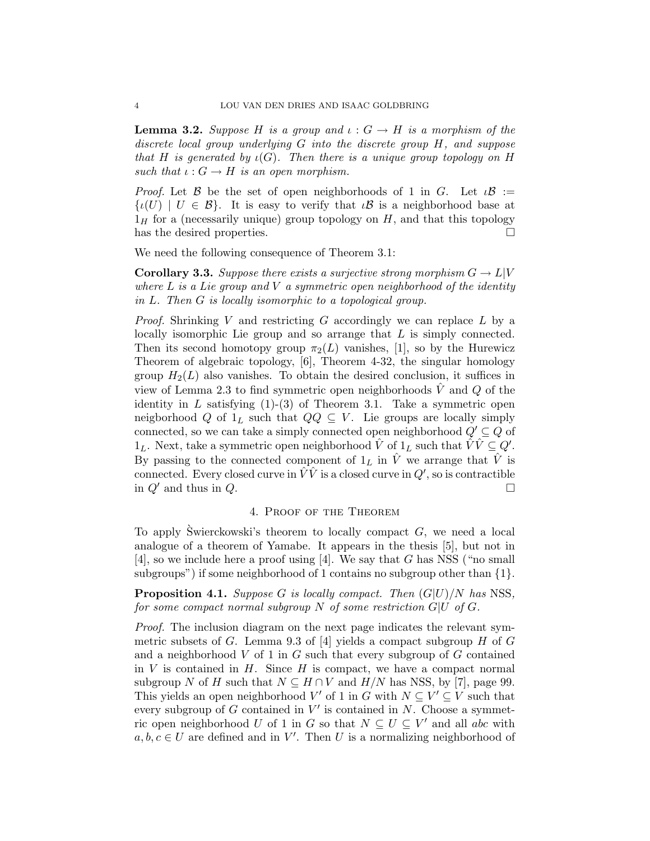**Lemma 3.2.** Suppose H is a group and  $\iota : G \to H$  is a morphism of the discrete local group underlying G into the discrete group H, and suppose that H is generated by  $\iota(G)$ . Then there is a unique group topology on H such that  $\iota: G \to H$  is an open morphism.

*Proof.* Let B be the set of open neighborhoods of 1 in G. Let  $\iota \mathcal{B} :=$  $\{i(U) \mid U \in \mathcal{B}\}\.$  It is easy to verify that  $i\mathcal{B}$  is a neighborhood base at  $1_H$  for a (necessarily unique) group topology on H, and that this topology has the desired properties.

We need the following consequence of Theorem 3.1:

**Corollary 3.3.** Suppose there exists a surjective strong morphism  $G \to L[V]$ where  $L$  is a Lie group and  $V$  a symmetric open neighborhood of the identity in L. Then G is locally isomorphic to a topological group.

*Proof.* Shrinking V and restricting G accordingly we can replace  $L$  by a locally isomorphic Lie group and so arrange that  $L$  is simply connected. Then its second homotopy group  $\pi_2(L)$  vanishes, [1], so by the Hurewicz Theorem of algebraic topology, [6], Theorem 4-32, the singular homology group  $H_2(L)$  also vanishes. To obtain the desired conclusion, it suffices in view of Lemma 2.3 to find symmetric open neighborhoods  $\hat{V}$  and  $Q$  of the identity in  $L$  satisfying  $(1)-(3)$  of Theorem 3.1. Take a symmetric open neigborhood Q of  $1_L$  such that  $QQ \subseteq V$ . Lie groups are locally simply connected, so we can take a simply connected open neighborhood  $Q' \subseteq Q$  of  $1_L$ . Next, take a symmetric open neighborhood  $\hat{V}$  of  $1_L$  such that  $\hat{V}\hat{V} \subseteq Q'$ . By passing to the connected component of  $1_L$  in  $\hat{V}$  we arrange that  $\hat{V}$  is connected. Every closed curve in  $\hat{V}V$  is a closed curve in  $Q'$ , so is contractible in  $Q'$  and thus in  $Q$ .

### 4. Proof of the Theorem

To apply Swierckowski's theorem to locally compact  $G$ , we need a local analogue of a theorem of Yamabe. It appears in the thesis [5], but not in [4], so we include here a proof using [4]. We say that G has NSS ("no small subgroups") if some neighborhood of 1 contains no subgroup other than  $\{1\}$ .

**Proposition 4.1.** Suppose G is locally compact. Then  $(G|U)/N$  has NSS, for some compact normal subgroup  $N$  of some restriction  $G|U$  of  $G$ .

Proof. The inclusion diagram on the next page indicates the relevant symmetric subsets of G. Lemma 9.3 of [4] yields a compact subgroup H of G and a neighborhood  $V$  of 1 in  $G$  such that every subgroup of  $G$  contained in  $V$  is contained in  $H$ . Since  $H$  is compact, we have a compact normal subgroup N of H such that  $N \subseteq H \cap V$  and  $H/N$  has NSS, by [7], page 99. This yields an open neighborhood V' of 1 in G with  $N \subseteq V' \subseteq V$  such that every subgroup of  $G$  contained in  $V'$  is contained in  $N$ . Choose a symmetric open neighborhood U of 1 in G so that  $N \subseteq U \subseteq V'$  and all abc with  $a, b, c \in U$  are defined and in V'. Then U is a normalizing neighborhood of